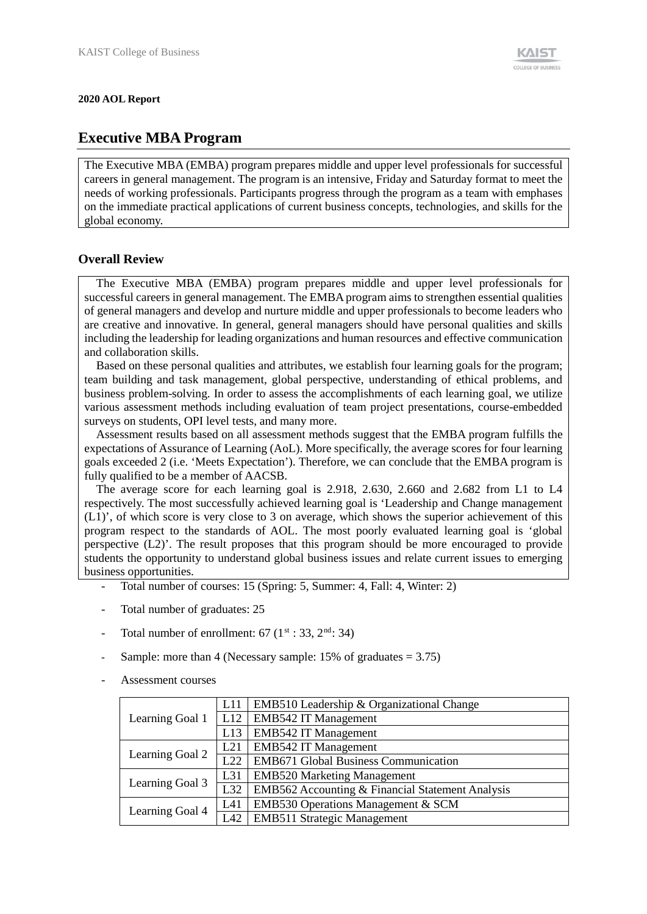#### **2020 AOL Report**

## **Executive MBA Program**

The Executive MBA (EMBA) program prepares middle and upper level professionals for successful careers in general management. The program is an intensive, Friday and Saturday format to meet the needs of working professionals. Participants progress through the program as a team with emphases on the immediate practical applications of current business concepts, technologies, and skills for the global economy.

### **Overall Review**

The Executive MBA (EMBA) program prepares middle and upper level professionals for successful careers in general management. The EMBA program aims to strengthen essential qualities of general managers and develop and nurture middle and upper professionals to become leaders who are creative and innovative. In general, general managers should have personal qualities and skills including the leadership for leading organizations and human resources and effective communication and collaboration skills.

Based on these personal qualities and attributes, we establish four learning goals for the program; team building and task management, global perspective, understanding of ethical problems, and business problem-solving. In order to assess the accomplishments of each learning goal, we utilize various assessment methods including evaluation of team project presentations, course-embedded surveys on students, OPI level tests, and many more.

Assessment results based on all assessment methods suggest that the EMBA program fulfills the expectations of Assurance of Learning (AoL). More specifically, the average scores for four learning goals exceeded 2 (i.e. 'Meets Expectation'). Therefore, we can conclude that the EMBA program is fully qualified to be a member of AACSB.

The average score for each learning goal is 2.918, 2.630, 2.660 and 2.682 from L1 to L4 respectively. The most successfully achieved learning goal is 'Leadership and Change management (L1)', of which score is very close to 3 on average, which shows the superior achievement of this program respect to the standards of AOL. The most poorly evaluated learning goal is 'global perspective (L2)'. The result proposes that this program should be more encouraged to provide students the opportunity to understand global business issues and relate current issues to emerging business opportunities.

- Total number of courses: 15 (Spring: 5, Summer: 4, Fall: 4, Winter: 2)
- Total number of graduates: 25
- Total number of enrollment:  $67 (1<sup>st</sup> : 33, 2<sup>nd</sup> : 34)$
- Sample: more than 4 (Necessary sample:  $15\%$  of graduates = 3.75)
- Assessment courses

|                 | L11              | EMB510 Leadership & Organizational Change        |
|-----------------|------------------|--------------------------------------------------|
| Learning Goal 1 | L12              | <b>EMB542 IT Management</b>                      |
|                 | L13              | <b>EMB542 IT Management</b>                      |
| Learning Goal 2 | L21              | <b>EMB542 IT Management</b>                      |
|                 | $\overline{L22}$ | EMB671 Global Business Communication             |
| Learning Goal 3 | L31              | <b>EMB520 Marketing Management</b>               |
|                 | L32              | EMB562 Accounting & Financial Statement Analysis |
|                 | L41              | EMB530 Operations Management & SCM               |
| Learning Goal 4 | L42              | <b>EMB511 Strategic Management</b>               |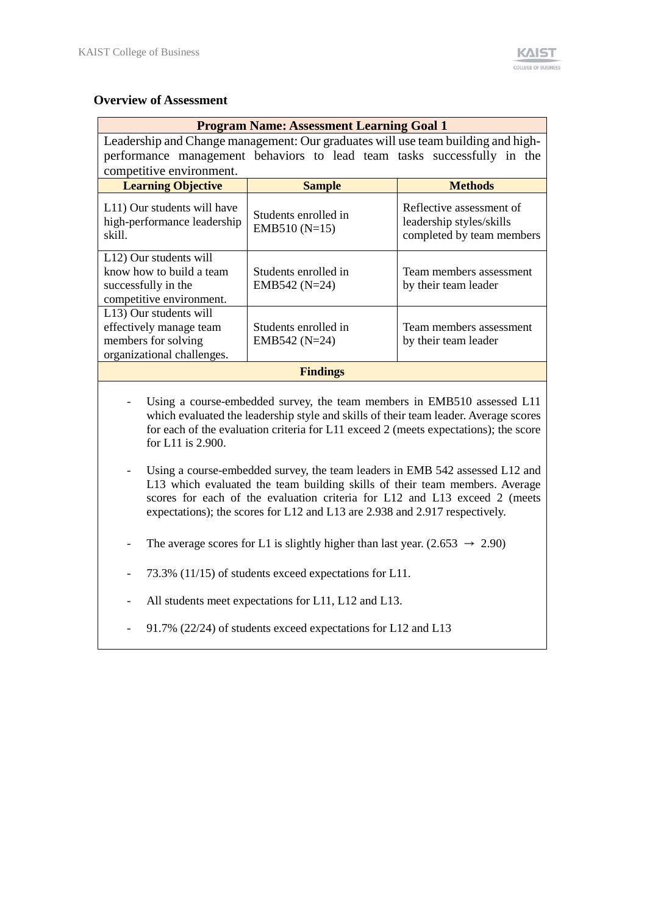#### **Overview of Assessment**

| <b>Program Name: Assessment Learning Goal 1</b>                                                        |                                         |                                                                                   |  |  |  |  |  |  |
|--------------------------------------------------------------------------------------------------------|-----------------------------------------|-----------------------------------------------------------------------------------|--|--|--|--|--|--|
| Leadership and Change management: Our graduates will use team building and high-                       |                                         |                                                                                   |  |  |  |  |  |  |
| performance management behaviors to lead team tasks successfully in the<br>competitive environment.    |                                         |                                                                                   |  |  |  |  |  |  |
| <b>Learning Objective</b>                                                                              | <b>Methods</b><br><b>Sample</b>         |                                                                                   |  |  |  |  |  |  |
| L11) Our students will have<br>high-performance leadership<br>skill.                                   | Students enrolled in<br>EMB510 $(N=15)$ | Reflective assessment of<br>leadership styles/skills<br>completed by team members |  |  |  |  |  |  |
| L12) Our students will<br>know how to build a team<br>successfully in the<br>competitive environment.  | Students enrolled in<br>$EMB542 (N=24)$ | Team members assessment<br>by their team leader                                   |  |  |  |  |  |  |
| L13) Our students will<br>effectively manage team<br>members for solving<br>organizational challenges. | Students enrolled in<br>EMB542 $(N=24)$ | Team members assessment<br>by their team leader                                   |  |  |  |  |  |  |
| <b>Findings</b>                                                                                        |                                         |                                                                                   |  |  |  |  |  |  |

- Using a course-embedded survey, the team members in EMB510 assessed L11 which evaluated the leadership style and skills of their team leader. Average scores for each of the evaluation criteria for L11 exceed 2 (meets expectations); the score for L11 is 2.900.
- Using a course-embedded survey, the team leaders in EMB 542 assessed L12 and L13 which evaluated the team building skills of their team members. Average scores for each of the evaluation criteria for L12 and L13 exceed 2 (meets expectations); the scores for L12 and L13 are 2.938 and 2.917 respectively.
- The average scores for L1 is slightly higher than last year.  $(2.653 \rightarrow 2.90)$
- 73.3% (11/15) of students exceed expectations for L11.
- All students meet expectations for L11, L12 and L13.
- 91.7% (22/24) of students exceed expectations for L12 and L13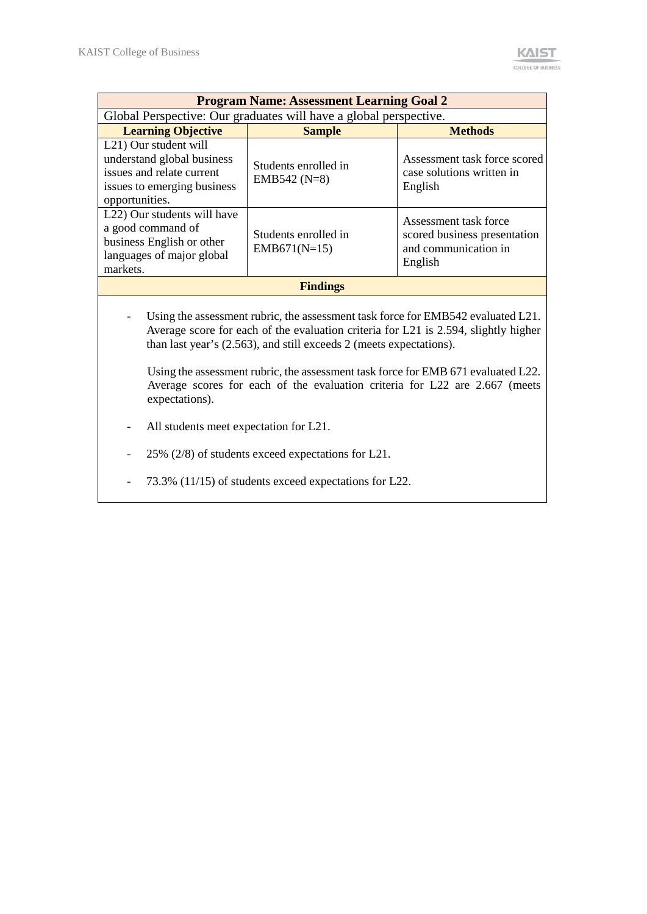|                                                                                                                                   | <b>Program Name: Assessment Learning Goal 2</b>                   |                                                                                          |  |  |  |  |  |  |
|-----------------------------------------------------------------------------------------------------------------------------------|-------------------------------------------------------------------|------------------------------------------------------------------------------------------|--|--|--|--|--|--|
|                                                                                                                                   | Global Perspective: Our graduates will have a global perspective. |                                                                                          |  |  |  |  |  |  |
| <b>Learning Objective</b><br><b>Methods</b><br><b>Sample</b>                                                                      |                                                                   |                                                                                          |  |  |  |  |  |  |
| L21) Our student will<br>understand global business<br>issues and relate current<br>issues to emerging business<br>opportunities. | Students enrolled in<br>EMB542 $(N=8)$                            | Assessment task force scored<br>case solutions written in<br>English                     |  |  |  |  |  |  |
| L22) Our students will have<br>a good command of<br>business English or other<br>languages of major global<br>markets.            | Students enrolled in<br>$EMB671(N=15)$                            | Assessment task force<br>scored business presentation<br>and communication in<br>English |  |  |  |  |  |  |
|                                                                                                                                   | <b>Findings</b>                                                   |                                                                                          |  |  |  |  |  |  |

Using the assessment rubric, the assessment task force for EMB542 evaluated L21. Average score for each of the evaluation criteria for L21 is 2.594, slightly higher than last year's (2.563), and still exceeds 2 (meets expectations).

Using the assessment rubric, the assessment task force for EMB 671 evaluated L22. Average scores for each of the evaluation criteria for L22 are 2.667 (meets expectations).

- All students meet expectation for L21.
- 25% (2/8) of students exceed expectations for L21.
- 73.3% (11/15) of students exceed expectations for L22.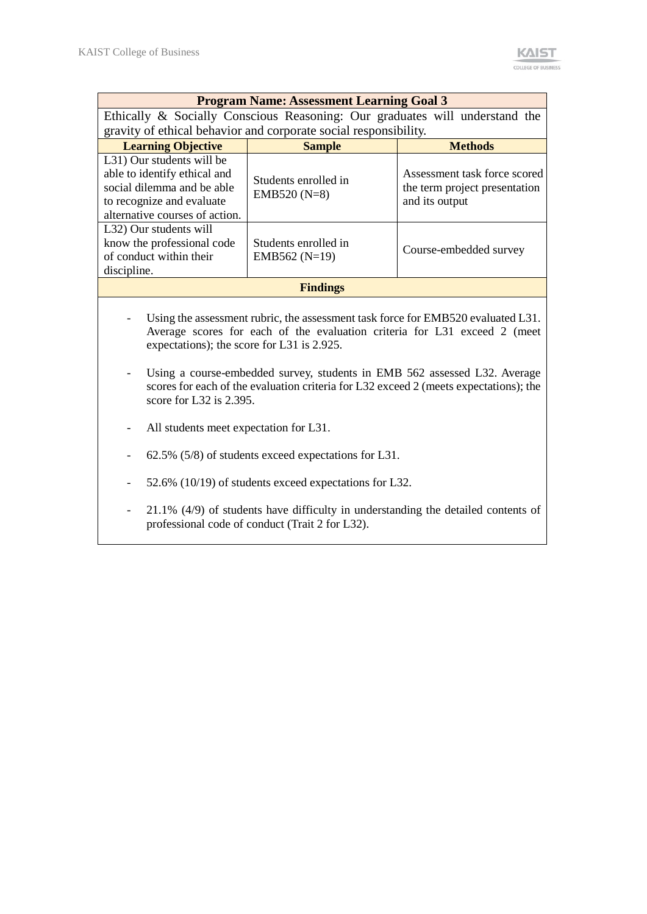| <b>Program Name: Assessment Learning Goal 3</b>                                                                                                                                                             |                                                        |                                                                                 |  |  |  |  |  |  |
|-------------------------------------------------------------------------------------------------------------------------------------------------------------------------------------------------------------|--------------------------------------------------------|---------------------------------------------------------------------------------|--|--|--|--|--|--|
| Ethically & Socially Conscious Reasoning: Our graduates will understand the                                                                                                                                 |                                                        |                                                                                 |  |  |  |  |  |  |
| gravity of ethical behavior and corporate social responsibility.                                                                                                                                            |                                                        |                                                                                 |  |  |  |  |  |  |
| <b>Learning Objective</b>                                                                                                                                                                                   | <b>Sample</b>                                          | <b>Methods</b>                                                                  |  |  |  |  |  |  |
| L31) Our students will be<br>able to identify ethical and<br>social dilemma and be able<br>to recognize and evaluate<br>alternative courses of action.                                                      | Students enrolled in<br>EMB520 (N=8)                   | Assessment task force scored<br>the term project presentation<br>and its output |  |  |  |  |  |  |
| L32) Our students will<br>know the professional code<br>of conduct within their<br>discipline.                                                                                                              | Students enrolled in<br>EMB562 ( $N=19$ )              | Course-embedded survey                                                          |  |  |  |  |  |  |
|                                                                                                                                                                                                             | <b>Findings</b>                                        |                                                                                 |  |  |  |  |  |  |
| Using the assessment rubric, the assessment task force for EMB520 evaluated L31.<br>Average scores for each of the evaluation criteria for L31 exceed 2 (meet<br>expectations); the score for L31 is 2.925. |                                                        |                                                                                 |  |  |  |  |  |  |
| Using a course-embedded survey, students in EMB 562 assessed L32. Average<br>scores for each of the evaluation criteria for L32 exceed 2 (meets expectations); the<br>score for L32 is $2.395$ .            |                                                        |                                                                                 |  |  |  |  |  |  |
| All students meet expectation for L31.                                                                                                                                                                      |                                                        |                                                                                 |  |  |  |  |  |  |
|                                                                                                                                                                                                             | 62.5% (5/8) of students exceed expectations for L31.   |                                                                                 |  |  |  |  |  |  |
|                                                                                                                                                                                                             | 52.6% (10/19) of students exceed expectations for L32. |                                                                                 |  |  |  |  |  |  |

- 21.1% (4/9) of students have difficulty in understanding the detailed contents of professional code of conduct (Trait 2 for L32).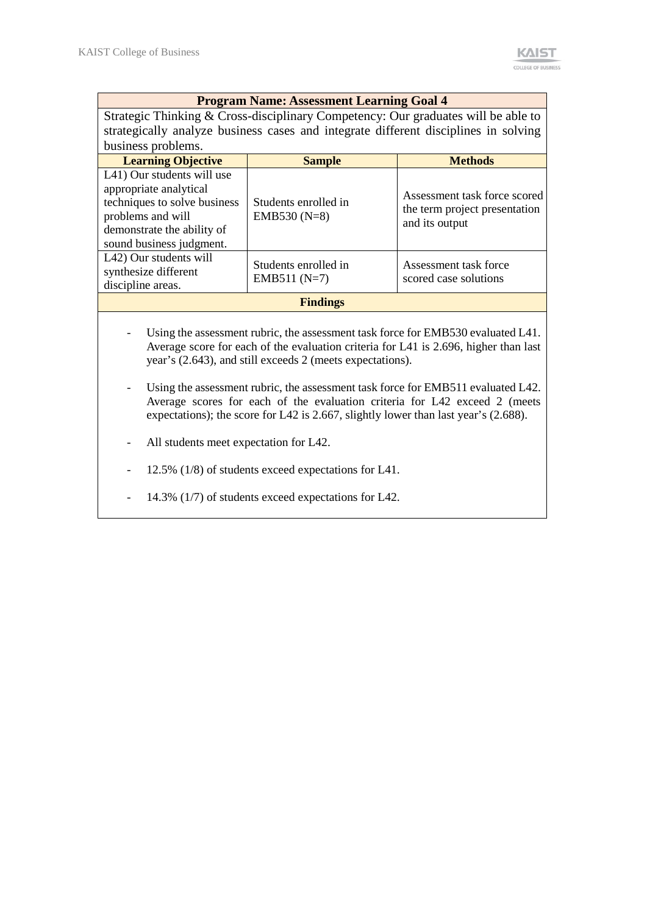#### **Program Name: Assessment Learning Goal 4**

Strategic Thinking & Cross-disciplinary Competency: Our graduates will be able to strategically analyze business cases and integrate different disciplines in solving business problems.

| <b>Learning Objective</b>                                                                                                                                           | <b>Sample</b>                          | <b>Methods</b>                                                                  |  |  |  |
|---------------------------------------------------------------------------------------------------------------------------------------------------------------------|----------------------------------------|---------------------------------------------------------------------------------|--|--|--|
| L41) Our students will use<br>appropriate analytical<br>techniques to solve business<br>problems and will<br>demonstrate the ability of<br>sound business judgment. | Students enrolled in<br>EMB530 $(N=8)$ | Assessment task force scored<br>the term project presentation<br>and its output |  |  |  |
| L42) Our students will<br>synthesize different<br>discipline areas.                                                                                                 | Students enrolled in<br>EMB511 $(N=7)$ | Assessment task force<br>scored case solutions                                  |  |  |  |
| <b>Findings</b>                                                                                                                                                     |                                        |                                                                                 |  |  |  |

- Using the assessment rubric, the assessment task force for EMB530 evaluated L41. Average score for each of the evaluation criteria for L41 is 2.696, higher than last year's (2.643), and still exceeds 2 (meets expectations).
- Using the assessment rubric, the assessment task force for EMB511 evaluated L42. Average scores for each of the evaluation criteria for L42 exceed 2 (meets expectations); the score for L42 is 2.667, slightly lower than last year's (2.688).
- All students meet expectation for L42.
- 12.5% (1/8) of students exceed expectations for L41.
- 14.3% (1/7) of students exceed expectations for L42.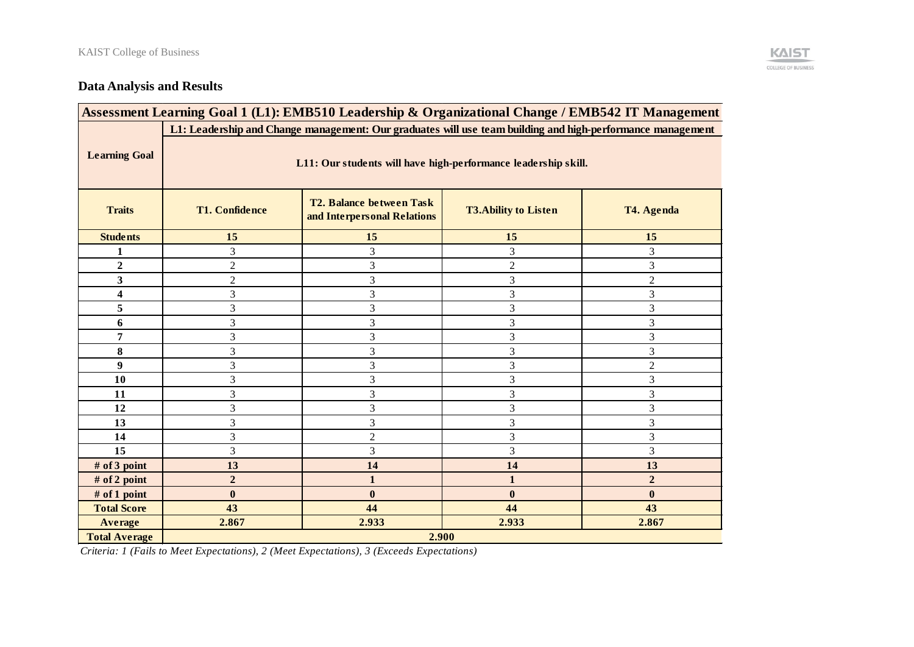# **Data Analysis and Results**

| Assessment Learning Goal 1 (L1): EMB510 Leadership & Organizational Change / EMB542 IT Management          |                                                                                                                                      |                |                |                  |  |  |  |  |
|------------------------------------------------------------------------------------------------------------|--------------------------------------------------------------------------------------------------------------------------------------|----------------|----------------|------------------|--|--|--|--|
| L1: Leadership and Change management: Our graduates will use team building and high-performance management |                                                                                                                                      |                |                |                  |  |  |  |  |
| <b>Learning Goal</b>                                                                                       | L11: Our students will have high-performance leadership skill.                                                                       |                |                |                  |  |  |  |  |
| <b>Traits</b>                                                                                              | <b>T2. Balance between Task</b><br><b>T1. Confidence</b><br><b>T3.Ability to Listen</b><br>T4. Agenda<br>and Interpersonal Relations |                |                |                  |  |  |  |  |
| <b>Students</b>                                                                                            | 15                                                                                                                                   | 15             | 15             | 15               |  |  |  |  |
| 1                                                                                                          | 3                                                                                                                                    | 3              | 3              | 3                |  |  |  |  |
| $\boldsymbol{2}$                                                                                           | $\overline{2}$                                                                                                                       | 3              | $\overline{c}$ | 3                |  |  |  |  |
| 3                                                                                                          | $\overline{2}$                                                                                                                       | 3              | 3              | $\mathfrak{2}$   |  |  |  |  |
| $\overline{\mathbf{4}}$                                                                                    | 3                                                                                                                                    | $\overline{3}$ | $\overline{3}$ | 3                |  |  |  |  |
| 5                                                                                                          | 3                                                                                                                                    | 3              | 3              | 3                |  |  |  |  |
| 6                                                                                                          | 3                                                                                                                                    | 3              | 3              | 3                |  |  |  |  |
| 7                                                                                                          | $\mathfrak{Z}$                                                                                                                       | 3              | 3              | $\mathfrak{Z}$   |  |  |  |  |
| 8                                                                                                          | 3                                                                                                                                    | 3              | 3              | 3                |  |  |  |  |
| 9                                                                                                          | 3                                                                                                                                    | 3              | 3              | $\overline{2}$   |  |  |  |  |
| 10                                                                                                         | 3                                                                                                                                    | 3              | 3              | 3                |  |  |  |  |
| 11                                                                                                         | 3                                                                                                                                    | 3              | 3              | 3                |  |  |  |  |
| 12                                                                                                         | 3                                                                                                                                    | 3              | 3              | 3                |  |  |  |  |
| 13                                                                                                         | 3                                                                                                                                    | $\overline{3}$ | $\overline{3}$ | 3                |  |  |  |  |
| 14                                                                                                         | 3                                                                                                                                    | $\overline{c}$ | 3              | 3                |  |  |  |  |
| 15                                                                                                         | 3                                                                                                                                    | 3              | 3              | 3                |  |  |  |  |
| # of 3 point                                                                                               | 13                                                                                                                                   | 14             | 14             | 13               |  |  |  |  |
| # of 2 point                                                                                               | $\mathbf 2$                                                                                                                          | $\mathbf{1}$   | $\mathbf{1}$   | $\boldsymbol{2}$ |  |  |  |  |
| # of 1 point                                                                                               | $\bf{0}$                                                                                                                             | $\bf{0}$       | $\bf{0}$       | $\bf{0}$         |  |  |  |  |
| <b>Total Score</b>                                                                                         | 43                                                                                                                                   | 44             | 44             | 43               |  |  |  |  |
| <b>Average</b>                                                                                             | 2.867                                                                                                                                | 2.933          | 2.933          | 2.867            |  |  |  |  |
| <b>Total Average</b>                                                                                       | 2.900                                                                                                                                |                |                |                  |  |  |  |  |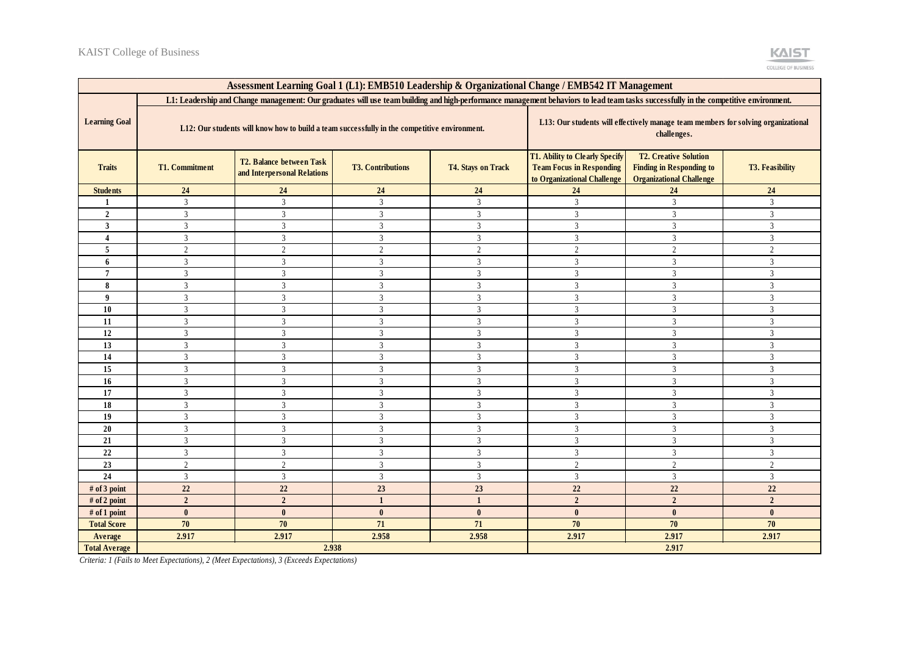| Assessment Learning Goal 1 (L1): EMB510 Leadership & Organizational Change / EMB542 IT Management                                                                                    |                                                                                              |                                                         |                          |                           |                                                                                                         |                                                                                                    |                        |  |
|--------------------------------------------------------------------------------------------------------------------------------------------------------------------------------------|----------------------------------------------------------------------------------------------|---------------------------------------------------------|--------------------------|---------------------------|---------------------------------------------------------------------------------------------------------|----------------------------------------------------------------------------------------------------|------------------------|--|
| L1: Leadership and Change management: Our graduates will use team building and high-performance management behaviors to lead team tasks successfully in the competitive environment. |                                                                                              |                                                         |                          |                           |                                                                                                         |                                                                                                    |                        |  |
| <b>Learning Goal</b>                                                                                                                                                                 | L12: Our students will know how to build a team successfully in the competitive environment. |                                                         |                          |                           |                                                                                                         | L13: Our students will effectively manage team members for solving organizational<br>challenges.   |                        |  |
| <b>Traits</b>                                                                                                                                                                        | <b>T1. Commitment</b>                                                                        | T2. Balance between Task<br>and Interpersonal Relations | <b>T3. Contributions</b> | <b>T4. Stays on Track</b> | <b>T1. Ability to Clearly Specify</b><br><b>Team Focus in Responding</b><br>to Organizational Challenge | <b>T2. Creative Solution</b><br><b>Finding in Responding to</b><br><b>Organizational Challenge</b> | <b>T3. Feasibility</b> |  |
| <b>Students</b>                                                                                                                                                                      | 24                                                                                           | 24                                                      | 24                       | 24                        | 24                                                                                                      | 24                                                                                                 | 24                     |  |
| $\mathbf{1}$                                                                                                                                                                         | $\overline{3}$                                                                               | $\mathfrak{Z}$                                          | $\overline{3}$           | $\overline{3}$            | $\overline{3}$                                                                                          | $\overline{3}$                                                                                     | $\overline{3}$         |  |
| $\overline{2}$                                                                                                                                                                       | 3                                                                                            | $\overline{3}$                                          | $\overline{3}$           | $\overline{3}$            | $\overline{3}$                                                                                          | 3                                                                                                  | 3                      |  |
| 3                                                                                                                                                                                    | 3                                                                                            | 3                                                       | $\overline{3}$           | 3                         | 3                                                                                                       | 3                                                                                                  | 3                      |  |
| 4                                                                                                                                                                                    | 3                                                                                            | $\overline{3}$                                          | $\overline{3}$           | $\overline{3}$            | $\overline{3}$                                                                                          | 3                                                                                                  | $\overline{3}$         |  |
| 5                                                                                                                                                                                    | $\overline{2}$                                                                               | $\sqrt{2}$                                              | $\sqrt{2}$               | $\overline{2}$            | $\overline{2}$                                                                                          | $\overline{c}$                                                                                     | $\overline{2}$         |  |
| 6                                                                                                                                                                                    | $\overline{3}$                                                                               | $\mathfrak{Z}$                                          | $\overline{\mathbf{3}}$  | $\mathbf{3}$              | $\overline{3}$                                                                                          | $\overline{3}$                                                                                     | $\overline{3}$         |  |
| $\overline{7}$                                                                                                                                                                       | $\mathfrak{Z}$                                                                               | $\mathfrak{Z}$                                          | $\mathfrak{Z}$           | $\overline{3}$            | $\overline{3}$                                                                                          | 3                                                                                                  | $\overline{3}$         |  |
| 8                                                                                                                                                                                    | $\overline{3}$                                                                               | $\mathfrak{Z}$                                          | $\overline{3}$           | $\mathbf{3}$              | $\overline{3}$                                                                                          | 3                                                                                                  | $\overline{3}$         |  |
| 9                                                                                                                                                                                    | $\overline{3}$                                                                               | $\overline{3}$                                          | $\overline{3}$           | $\overline{3}$            | $\overline{3}$                                                                                          | 3                                                                                                  | $\overline{3}$         |  |
| 10                                                                                                                                                                                   | 3                                                                                            | 3                                                       | 3                        | 3                         | 3                                                                                                       | 3                                                                                                  | 3                      |  |
| 11                                                                                                                                                                                   | $\overline{3}$                                                                               | $\overline{3}$                                          | $\overline{3}$           | $\overline{3}$            | $\overline{3}$                                                                                          | 3                                                                                                  | $\overline{3}$         |  |
| 12                                                                                                                                                                                   | $\mathfrak{Z}$                                                                               | $\mathfrak{Z}$                                          | $\mathfrak{Z}$           | $\overline{3}$            | $\mathfrak{Z}$                                                                                          | $\overline{3}$                                                                                     | $\mathfrak{Z}$         |  |
| 13                                                                                                                                                                                   | $\overline{3}$                                                                               | $\overline{3}$                                          | $\overline{3}$           | $\overline{3}$            | $\overline{3}$                                                                                          | 3                                                                                                  | $\overline{3}$         |  |
| 14                                                                                                                                                                                   | $\overline{3}$                                                                               | $\mathfrak{Z}$                                          | $\overline{3}$           | $\overline{3}$            | $\overline{3}$                                                                                          | $\overline{3}$                                                                                     | $\overline{3}$         |  |
| 15                                                                                                                                                                                   | $\mathfrak{Z}$                                                                               | $\mathfrak{Z}$                                          | $\mathfrak{Z}$           | $\mathfrak{Z}$            | $\mathfrak{Z}$                                                                                          | $\overline{3}$                                                                                     | $\overline{3}$         |  |
| 16                                                                                                                                                                                   | $\overline{3}$                                                                               | $\overline{3}$                                          | $\overline{3}$           | $\overline{3}$            | $\overline{3}$                                                                                          | 3                                                                                                  | $\overline{3}$         |  |
| 17                                                                                                                                                                                   | 3                                                                                            | $\mathfrak{Z}$                                          | $\mathfrak{Z}$           | 3                         | 3                                                                                                       | 3                                                                                                  | 3                      |  |
| 18                                                                                                                                                                                   | $\overline{3}$                                                                               | $\mathfrak{Z}$                                          | $\overline{3}$           | $\overline{3}$            | $\overline{3}$                                                                                          | 3                                                                                                  | $\overline{3}$         |  |
| 19                                                                                                                                                                                   | $\overline{3}$                                                                               | $\mathfrak{Z}$                                          | $\mathfrak{Z}$           | $\overline{3}$            | $\overline{3}$                                                                                          | 3                                                                                                  | $\overline{3}$         |  |
| 20                                                                                                                                                                                   | $\mathfrak{Z}$                                                                               | $\overline{3}$                                          | $\overline{\mathbf{3}}$  | $\overline{3}$            | $\overline{3}$                                                                                          | $\overline{3}$                                                                                     | $\mathfrak{Z}$         |  |
| 21                                                                                                                                                                                   | $\overline{3}$                                                                               | $\overline{3}$                                          | $\overline{3}$           | $\overline{3}$            | $\overline{3}$                                                                                          | $\overline{3}$                                                                                     | $\overline{3}$         |  |
| 22                                                                                                                                                                                   | $\overline{3}$                                                                               | $\mathfrak{Z}$                                          | $\mathfrak{Z}$           | $\mathfrak{Z}$            | $\overline{3}$                                                                                          | $\overline{3}$                                                                                     | $\overline{3}$         |  |
| 23                                                                                                                                                                                   | $\overline{2}$                                                                               | $\mathbf{2}$                                            | $\overline{3}$           | $\overline{3}$            | $\overline{2}$                                                                                          | $\overline{2}$                                                                                     | $\overline{2}$         |  |
| 24                                                                                                                                                                                   | 3                                                                                            | $\mathfrak{Z}$                                          | $\mathfrak{Z}$           | $\overline{3}$            | $\overline{3}$                                                                                          | 3                                                                                                  | $\overline{3}$         |  |
| # of 3 point                                                                                                                                                                         | $22\,$                                                                                       | 22                                                      | 23                       | 23                        | 22                                                                                                      | 22                                                                                                 | $22\,$                 |  |
| # of 2 point                                                                                                                                                                         | $\overline{2}$                                                                               | $\overline{2}$                                          | $\mathbf{1}$             | $\mathbf{1}$              | $\overline{2}$                                                                                          | $\overline{2}$                                                                                     | $\overline{2}$         |  |
| # of 1 point                                                                                                                                                                         | $\mathbf{0}$                                                                                 | $\bf{0}$                                                | $\mathbf{0}$             | $\mathbf{0}$              | $\mathbf{0}$                                                                                            | $\mathbf{0}$                                                                                       | $\mathbf{0}$           |  |
| <b>Total Score</b>                                                                                                                                                                   | 70                                                                                           | 70                                                      | 71                       | 71                        | 70                                                                                                      | 70                                                                                                 | 70                     |  |
| Average                                                                                                                                                                              | 2.917                                                                                        | 2.917                                                   | 2.958                    | 2.958                     | 2.917                                                                                                   | 2.917                                                                                              | 2.917                  |  |
| <b>Total Average</b>                                                                                                                                                                 |                                                                                              | 2.938                                                   |                          |                           |                                                                                                         | 2.917                                                                                              |                        |  |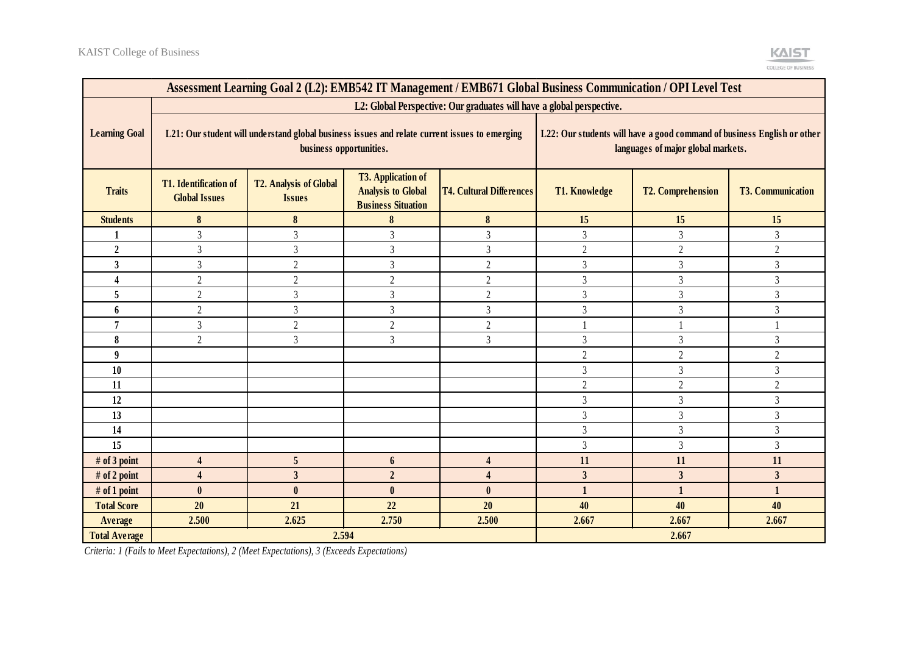| Assessment Learning Goal 2 (L2): EMB542 IT Management / EMB671 Global Business Communication / OPI Level Test |                                                                                                                                                                                                                                  |                         |                  |                         |                      |                                                                                                               |                          |  |
|---------------------------------------------------------------------------------------------------------------|----------------------------------------------------------------------------------------------------------------------------------------------------------------------------------------------------------------------------------|-------------------------|------------------|-------------------------|----------------------|---------------------------------------------------------------------------------------------------------------|--------------------------|--|
|                                                                                                               | L2: Global Perspective: Our graduates will have a global perspective.                                                                                                                                                            |                         |                  |                         |                      |                                                                                                               |                          |  |
| <b>Learning Goal</b>                                                                                          | L21: Our student will understand global business issues and relate current issues to emerging<br>business opportunities.                                                                                                         |                         |                  |                         |                      | L22: Our students will have a good command of business English or other<br>languages of major global markets. |                          |  |
| <b>Traits</b>                                                                                                 | <b>T3. Application of</b><br><b>T1.</b> Identification of<br><b>T2. Analysis of Global</b><br><b>Analysis to Global</b><br><b>T4. Cultural Differences</b><br><b>Global Issues</b><br><b>Issues</b><br><b>Business Situation</b> |                         |                  |                         | <b>T1. Knowledge</b> | <b>T2. Comprehension</b>                                                                                      | <b>T3. Communication</b> |  |
| <b>Students</b>                                                                                               | 8                                                                                                                                                                                                                                | 8                       | 8                | 8                       | 15                   | 15                                                                                                            | 15                       |  |
|                                                                                                               | 3                                                                                                                                                                                                                                | 3                       | $\mathfrak{Z}$   | 3                       | $\overline{3}$       | $\overline{3}$                                                                                                | 3                        |  |
| $\boldsymbol{2}$                                                                                              | 3                                                                                                                                                                                                                                | $\overline{3}$          | $\overline{3}$   | 3                       | $\overline{2}$       | $\overline{2}$                                                                                                | $\overline{2}$           |  |
| $\overline{\mathbf{3}}$                                                                                       | 3                                                                                                                                                                                                                                | $\overline{2}$          | $\overline{3}$   | $\overline{2}$          | $\mathfrak{Z}$       | $\overline{3}$                                                                                                | 3                        |  |
| 4                                                                                                             | $\overline{2}$                                                                                                                                                                                                                   | $\overline{2}$          | $\overline{2}$   | $\mathfrak{2}$          | $\mathfrak{Z}$       | $\overline{3}$                                                                                                | 3                        |  |
| 5                                                                                                             | $\overline{2}$                                                                                                                                                                                                                   | 3                       | $\overline{3}$   | $\overline{2}$          | $\overline{3}$       | $\overline{3}$                                                                                                | $\overline{3}$           |  |
| 6                                                                                                             | $\overline{2}$                                                                                                                                                                                                                   | 3                       | $\overline{3}$   | $\mathfrak{Z}$          | $\mathfrak{Z}$       | $\overline{3}$                                                                                                | 3                        |  |
| 7                                                                                                             | 3                                                                                                                                                                                                                                | $\overline{2}$          | $\overline{2}$   | $\mathfrak{2}$          |                      |                                                                                                               |                          |  |
| 8                                                                                                             | $\overline{2}$                                                                                                                                                                                                                   | $\overline{3}$          | $\overline{3}$   | 3                       | $\mathfrak{Z}$       | $\overline{3}$                                                                                                | 3                        |  |
| 9                                                                                                             |                                                                                                                                                                                                                                  |                         |                  |                         | $\overline{2}$       | $\overline{2}$                                                                                                | $\overline{2}$           |  |
| 10                                                                                                            |                                                                                                                                                                                                                                  |                         |                  |                         | $\mathfrak{Z}$       | $\overline{3}$                                                                                                | $\overline{3}$           |  |
| 11                                                                                                            |                                                                                                                                                                                                                                  |                         |                  |                         | $\overline{2}$       | $\sqrt{2}$                                                                                                    | $\overline{2}$           |  |
| 12                                                                                                            |                                                                                                                                                                                                                                  |                         |                  |                         | $\overline{3}$       | $\overline{3}$                                                                                                | $\overline{3}$           |  |
| 13                                                                                                            |                                                                                                                                                                                                                                  |                         |                  |                         | $\mathfrak{Z}$       | $\overline{3}$                                                                                                | $\overline{3}$           |  |
| 14                                                                                                            |                                                                                                                                                                                                                                  |                         |                  |                         | 3                    | $\overline{3}$                                                                                                | 3                        |  |
| 15                                                                                                            |                                                                                                                                                                                                                                  |                         |                  |                         | $\overline{3}$       | $\overline{3}$                                                                                                | 3                        |  |
| # of 3 point                                                                                                  | 4                                                                                                                                                                                                                                | 5                       | 6                | 4                       | 11                   | 11                                                                                                            | 11                       |  |
| # of 2 point                                                                                                  | $\overline{\mathbf{4}}$                                                                                                                                                                                                          | $\overline{\mathbf{3}}$ | $\overline{2}$   | $\overline{\mathbf{4}}$ | $\mathbf{3}$         | $\overline{\mathbf{3}}$                                                                                       | 3                        |  |
| $#$ of 1 point                                                                                                | $\mathbf{0}$                                                                                                                                                                                                                     | $\mathbf{0}$            | $\boldsymbol{0}$ | $\mathbf{0}$            | $\mathbf{1}$         | $\mathbf{1}$                                                                                                  | $\mathbf{1}$             |  |
| <b>Total Score</b>                                                                                            | 20                                                                                                                                                                                                                               | 21                      | 22               | 20                      | 40                   | 40                                                                                                            | 40                       |  |
| Average                                                                                                       | 2.500                                                                                                                                                                                                                            | 2.625                   | 2.750            | 2.500                   | 2.667                | 2.667                                                                                                         | 2.667                    |  |
| <b>Total Average</b>                                                                                          | 2.594<br>2.667                                                                                                                                                                                                                   |                         |                  |                         |                      |                                                                                                               |                          |  |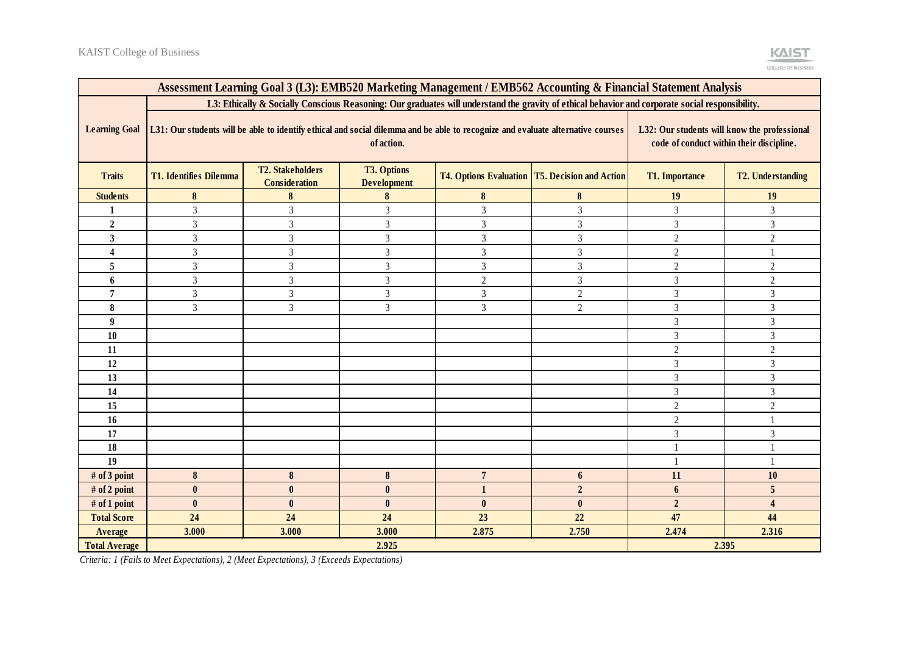| Assessment Learning Goal 3 (L3): EMB520 Marketing Management / EMB562 Accounting & Financial Statement Analysis                                  |                                                                                                                                                                                                                                           |                                                 |                                          |                 |                                                         |                       |                          |  |
|--------------------------------------------------------------------------------------------------------------------------------------------------|-------------------------------------------------------------------------------------------------------------------------------------------------------------------------------------------------------------------------------------------|-------------------------------------------------|------------------------------------------|-----------------|---------------------------------------------------------|-----------------------|--------------------------|--|
| L3: Ethically & Socially Conscious Reasoning: Our graduates will understand the gravity of ethical behavior and corporate social responsibility. |                                                                                                                                                                                                                                           |                                                 |                                          |                 |                                                         |                       |                          |  |
| <b>Learning Goal</b>                                                                                                                             | L31: Our students will be able to identify ethical and social dilemma and be able to recognize and evaluate alternative courses<br>L32: Our students will know the professional<br>of action.<br>code of conduct within their discipline. |                                                 |                                          |                 |                                                         |                       |                          |  |
| <b>Traits</b>                                                                                                                                    | <b>T1. Identifies Dilemma</b>                                                                                                                                                                                                             | <b>T2. Stakeholders</b><br><b>Consideration</b> | <b>T3. Options</b><br><b>Development</b> |                 | <b>T4. Options Evaluation   T5. Decision and Action</b> | <b>T1. Importance</b> | <b>T2. Understanding</b> |  |
| <b>Students</b>                                                                                                                                  | 8                                                                                                                                                                                                                                         | 8                                               | 8                                        | 8               | $\bf{8}$                                                | 19                    | 19                       |  |
|                                                                                                                                                  | 3                                                                                                                                                                                                                                         | 3                                               | $\overline{3}$                           | 3               | $\overline{3}$                                          | 3                     | 3                        |  |
| $\overline{2}$                                                                                                                                   | 3                                                                                                                                                                                                                                         | 3                                               | $\overline{3}$                           | 3               | $\overline{3}$                                          | $\overline{3}$        | $\overline{3}$           |  |
| 3                                                                                                                                                | 3                                                                                                                                                                                                                                         | 3                                               | $\overline{3}$                           | 3               | $\mathfrak{Z}$                                          | $\overline{2}$        | $\overline{2}$           |  |
| 4                                                                                                                                                | 3                                                                                                                                                                                                                                         | 3                                               | 3                                        | 3               | $\mathfrak{Z}$                                          | $\overline{2}$        |                          |  |
| 5                                                                                                                                                | 3                                                                                                                                                                                                                                         | 3                                               | 3                                        | $\mathfrak{Z}$  | 3                                                       | $\overline{2}$        | $\overline{c}$           |  |
| 6                                                                                                                                                | 3                                                                                                                                                                                                                                         | 3                                               | 3                                        | $\overline{2}$  | $\mathfrak{Z}$                                          | 3                     | $\overline{2}$           |  |
| 7                                                                                                                                                | 3                                                                                                                                                                                                                                         | 3                                               | 3                                        | 3               | $\mathfrak{2}$                                          | $\mathfrak{Z}$        | 3                        |  |
| 8                                                                                                                                                | 3                                                                                                                                                                                                                                         | $\overline{3}$                                  | $\overline{3}$                           | 3               | $\overline{2}$                                          | $\mathfrak{Z}$        | 3                        |  |
| 9                                                                                                                                                |                                                                                                                                                                                                                                           |                                                 |                                          |                 |                                                         | 3                     | 3                        |  |
| 10                                                                                                                                               |                                                                                                                                                                                                                                           |                                                 |                                          |                 |                                                         | $\mathfrak{Z}$        | $\mathfrak{Z}$           |  |
| 11                                                                                                                                               |                                                                                                                                                                                                                                           |                                                 |                                          |                 |                                                         | $\overline{2}$        | $\overline{2}$           |  |
| 12                                                                                                                                               |                                                                                                                                                                                                                                           |                                                 |                                          |                 |                                                         | $\mathfrak{Z}$        | 3                        |  |
| 13                                                                                                                                               |                                                                                                                                                                                                                                           |                                                 |                                          |                 |                                                         | $\mathfrak{Z}$        | 3                        |  |
| 14                                                                                                                                               |                                                                                                                                                                                                                                           |                                                 |                                          |                 |                                                         | $\mathfrak{Z}$        | 3                        |  |
| 15                                                                                                                                               |                                                                                                                                                                                                                                           |                                                 |                                          |                 |                                                         | $\overline{2}$        | $\overline{2}$           |  |
| 16                                                                                                                                               |                                                                                                                                                                                                                                           |                                                 |                                          |                 |                                                         | $\overline{2}$        |                          |  |
| 17                                                                                                                                               |                                                                                                                                                                                                                                           |                                                 |                                          |                 |                                                         | $\mathfrak{Z}$        | 3                        |  |
| 18                                                                                                                                               |                                                                                                                                                                                                                                           |                                                 |                                          |                 |                                                         |                       |                          |  |
| 19                                                                                                                                               |                                                                                                                                                                                                                                           |                                                 |                                          |                 |                                                         |                       |                          |  |
| # of 3 point                                                                                                                                     | 8                                                                                                                                                                                                                                         | 8                                               | 8                                        | $7\phantom{.0}$ | 6                                                       | 11                    | 10                       |  |
| # of 2 point                                                                                                                                     | $\mathbf{0}$                                                                                                                                                                                                                              | $\mathbf{0}$                                    | $\mathbf{0}$                             |                 | $\overline{2}$                                          | 6                     | 5                        |  |
| # of 1 point                                                                                                                                     | $\mathbf{0}$                                                                                                                                                                                                                              | $\bf{0}$                                        | $\mathbf{0}$                             | $\mathbf{0}$    | $\bf{0}$                                                | $\overline{2}$        | $\overline{\mathbf{4}}$  |  |
| <b>Total Score</b>                                                                                                                               | 24                                                                                                                                                                                                                                        | 24                                              | 24                                       | 23              | 22                                                      | 47                    | 44                       |  |
| Average                                                                                                                                          | 3.000                                                                                                                                                                                                                                     | 3.000                                           | 3.000                                    | 2.875           | 2.750                                                   | 2.474                 | 2.316                    |  |
| <b>Total Average</b>                                                                                                                             |                                                                                                                                                                                                                                           | 2.925<br>2.395                                  |                                          |                 |                                                         |                       |                          |  |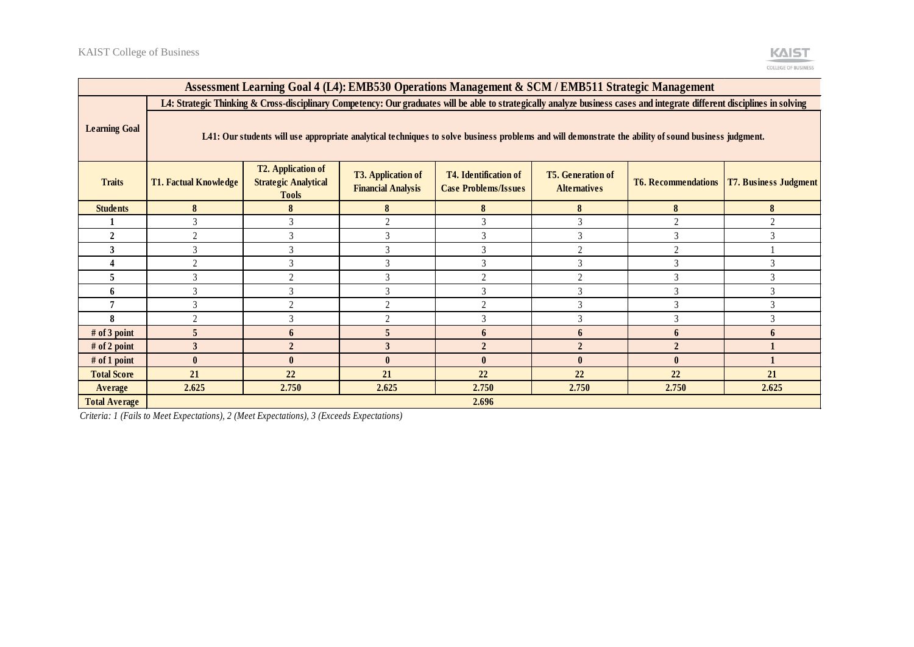| Assessment Learning Goal 4 (L4): EMB530 Operations Management & SCM / EMB511 Strategic Management |                                                                                                                                                                           |                                                                                                                                                                                                                                                                                                                    |              |                |                |                |          |  |  |
|---------------------------------------------------------------------------------------------------|---------------------------------------------------------------------------------------------------------------------------------------------------------------------------|--------------------------------------------------------------------------------------------------------------------------------------------------------------------------------------------------------------------------------------------------------------------------------------------------------------------|--------------|----------------|----------------|----------------|----------|--|--|
|                                                                                                   | L4: Strategic Thinking & Cross-disciplinary Competency: Our graduates will be able to strategically analyze business cases and integrate different disciplines in solving |                                                                                                                                                                                                                                                                                                                    |              |                |                |                |          |  |  |
| <b>Learning Goal</b>                                                                              | L41: Our students will use appropriate analytical techniques to solve business problems and will demonstrate the ability of sound business judgment.                      |                                                                                                                                                                                                                                                                                                                    |              |                |                |                |          |  |  |
| <b>Traits</b>                                                                                     | <b>T1. Factual Knowledge</b>                                                                                                                                              | <b>T2. Application of</b><br><b>T5. Generation of</b><br><b>T3. Application of</b><br><b>T4.</b> Identification of<br><b>T7. Business Judgment</b><br><b>Strategic Analytical</b><br><b>T6. Recommendations</b><br><b>Financial Analysis</b><br><b>Case Problems/Issues</b><br><b>Alternatives</b><br><b>Tools</b> |              |                |                |                |          |  |  |
| <b>Students</b>                                                                                   | 8                                                                                                                                                                         |                                                                                                                                                                                                                                                                                                                    | 8            | 8              | 8              | 8              | 8        |  |  |
|                                                                                                   | 3                                                                                                                                                                         | 3                                                                                                                                                                                                                                                                                                                  | $\bigcap$    |                | 3              | $\overline{2}$ | $\gamma$ |  |  |
| $\mathbf{2}$                                                                                      | <sup>1</sup>                                                                                                                                                              | 3                                                                                                                                                                                                                                                                                                                  |              | 3              | 3              | 3              | 3        |  |  |
| 3                                                                                                 | $\mathcal{E}$                                                                                                                                                             |                                                                                                                                                                                                                                                                                                                    |              |                | $\overline{2}$ | $\overline{2}$ |          |  |  |
|                                                                                                   | 2                                                                                                                                                                         | 3                                                                                                                                                                                                                                                                                                                  |              | 3              | 3              | $\overline{3}$ | 3        |  |  |
| 5                                                                                                 | 3                                                                                                                                                                         | ി                                                                                                                                                                                                                                                                                                                  |              | $\gamma$       | $\overline{2}$ | 3              | 3        |  |  |
| 6                                                                                                 | $\mathcal{E}$                                                                                                                                                             | 3                                                                                                                                                                                                                                                                                                                  |              | 3              | 3              | 3              | 3        |  |  |
|                                                                                                   |                                                                                                                                                                           |                                                                                                                                                                                                                                                                                                                    |              | $\gamma$       | 3              |                |          |  |  |
| 8                                                                                                 | ◠                                                                                                                                                                         | 3                                                                                                                                                                                                                                                                                                                  |              | $\mathcal{R}$  | 3              | $\mathcal{R}$  | 3        |  |  |
| # of 3 point                                                                                      |                                                                                                                                                                           | 6                                                                                                                                                                                                                                                                                                                  |              |                | 6              | 6              | 6        |  |  |
| # of 2 point                                                                                      | 3                                                                                                                                                                         | $\overline{2}$                                                                                                                                                                                                                                                                                                     |              | $\overline{2}$ | $\overline{2}$ | $\overline{2}$ |          |  |  |
| # of 1 point                                                                                      | $\mathbf{0}$                                                                                                                                                              | $\mathbf{0}$                                                                                                                                                                                                                                                                                                       | $\mathbf{0}$ | $\mathbf{0}$   | $\bf{0}$       | $\mathbf{0}$   |          |  |  |
| <b>Total Score</b>                                                                                | 21                                                                                                                                                                        | 22                                                                                                                                                                                                                                                                                                                 | 21           | 22             | 22             | 22             | 21       |  |  |
| Average                                                                                           | 2.625                                                                                                                                                                     | 2.750                                                                                                                                                                                                                                                                                                              | 2.625        | 2.750          | 2.750          | 2.750          | 2.625    |  |  |
| <b>Total Average</b>                                                                              |                                                                                                                                                                           |                                                                                                                                                                                                                                                                                                                    |              | 2.696          |                |                |          |  |  |